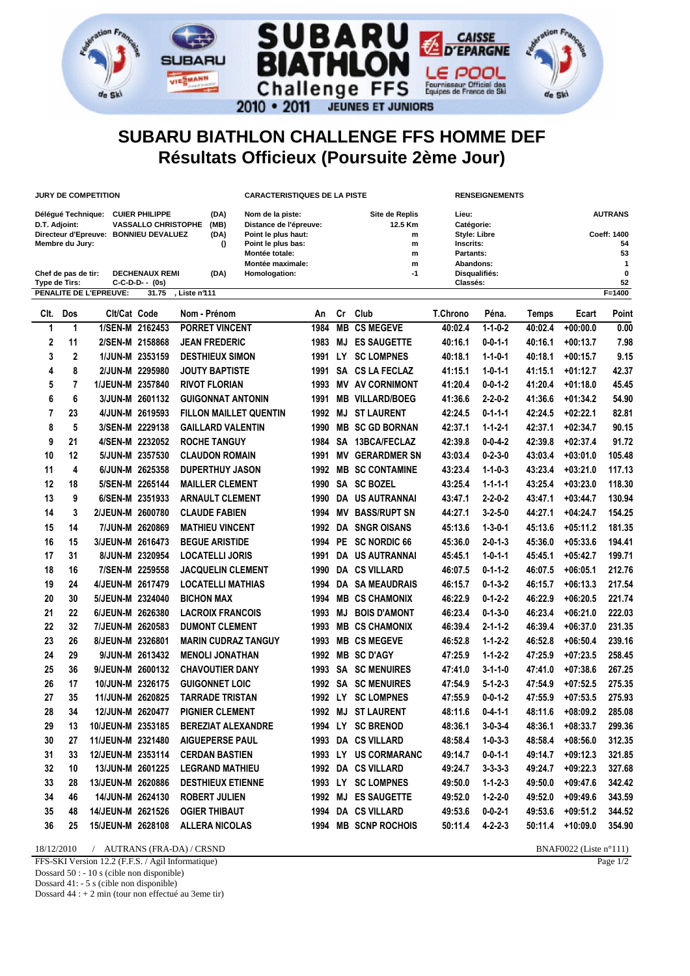

## **SUBARU BIATHLON CHALLENGE FFS HOMME DEF Résultats Officieux (Poursuite 2ème Jour)**

| <b>JURY DE COMPETITION</b>                                                                                                                   |                                                                                  |              |                   |                 |                                                                                                                                               |                          | <b>CARACTERISTIQUES DE LA PISTE</b> |                                          |     |                                                                      |                           | <b>RENSEIGNEMENTS</b> |                                           |                |              |  |
|----------------------------------------------------------------------------------------------------------------------------------------------|----------------------------------------------------------------------------------|--------------|-------------------|-----------------|-----------------------------------------------------------------------------------------------------------------------------------------------|--------------------------|-------------------------------------|------------------------------------------|-----|----------------------------------------------------------------------|---------------------------|-----------------------|-------------------------------------------|----------------|--------------|--|
| Délégué Technique: CUIER PHILIPPE<br>D.T. Adjoint:<br><b>VASSALLO CHRISTOPHE</b><br>Directeur d'Epreuve: BONNIEU DEVALUEZ<br>Membre du Jury: |                                                                                  |              |                   |                 | (DA)<br>Nom de la piste:<br>(MB)<br>Distance de l'épreuve:<br>(DA)<br>Point le plus haut:<br>Point le plus bas:<br>$\Omega$<br>Montée totale: |                          |                                     | Site de Replis<br>12.5 Km<br>m<br>m<br>m |     | Lieu:<br>Catégorie:<br>Style: Libre<br><b>Inscrits:</b><br>Partants: |                           |                       | <b>AUTRANS</b><br>Coeff: 1400<br>54<br>53 |                |              |  |
|                                                                                                                                              |                                                                                  |              |                   |                 |                                                                                                                                               |                          | Montée maximale:                    |                                          |     | $\mathsf{m}$                                                         | Abandons:                 |                       |                                           |                | $\mathbf{1}$ |  |
|                                                                                                                                              | Chef de pas de tir:<br><b>DECHENAUX REMI</b><br>Type de Tirs:<br>C-C-D-D- - (0s) |              |                   |                 |                                                                                                                                               | (DA)                     | $-1$<br>Homologation:               |                                          |     |                                                                      | Disqualifiés:<br>Classés: |                       |                                           | $\bf{0}$<br>52 |              |  |
|                                                                                                                                              | PENALITE DE L'EPREUVE:<br>Liste n911<br>31.75                                    |              |                   |                 |                                                                                                                                               |                          |                                     |                                          |     |                                                                      |                           |                       |                                           |                | $F=1400$     |  |
|                                                                                                                                              | CIt.                                                                             | Dos          | Clt/Cat Code      |                 |                                                                                                                                               | Nom - Prénom             |                                     | An                                       |     | Cr Club                                                              | <b>T.Chrono</b>           | Péna.                 | Temps                                     | Ecart          | Point        |  |
|                                                                                                                                              | 1                                                                                | $\mathbf{1}$ |                   | 1/SEN-M 2162453 |                                                                                                                                               | <b>PORRET VINCENT</b>    |                                     | 1984                                     |     | <b>MB CS MEGEVE</b>                                                  | 40:02.4                   | $1 - 1 - 0 - 2$       | 40:02.4                                   | $+00:00.0$     | 0.00         |  |
|                                                                                                                                              | 2                                                                                | 11           |                   | 2/SEN-M 2158868 |                                                                                                                                               | <b>JEAN FREDERIC</b>     |                                     | 1983                                     | MJ  | <b>ES SAUGETTE</b>                                                   | 40:16.1                   | $0 - 0 - 1 - 1$       | 40:16.1                                   | $+00:13.7$     | 7.98         |  |
|                                                                                                                                              | 3                                                                                | $\mathbf 2$  |                   | 1/JUN-M 2353159 |                                                                                                                                               | <b>DESTHIEUX SIMON</b>   |                                     | 1991                                     | LY. | <b>SC LOMPNES</b>                                                    | 40:18.1                   | $1 - 1 - 0 - 1$       | 40:18.1                                   | $+00:15.7$     | 9.15         |  |
|                                                                                                                                              | 4                                                                                | 8            |                   | 2/JUN-M 2295980 |                                                                                                                                               | <b>JOUTY BAPTISTE</b>    |                                     | 1991                                     |     | SA CS LA FECLAZ                                                      | 41:15.1                   | $1 - 0 - 1 - 1$       | 41:15.1                                   | $+01:12.7$     | 42.37        |  |
|                                                                                                                                              | 5                                                                                | 7            | 1/JEUN-M 2357840  |                 |                                                                                                                                               | <b>RIVOT FLORIAN</b>     |                                     | 1993                                     |     | <b>MV AV CORNIMONT</b>                                               | 41:20.4                   | $0 - 0 - 1 - 2$       | 41:20.4                                   | $+01:18.0$     | 45.45        |  |
|                                                                                                                                              | 6                                                                                | 6            |                   | 3/JUN-M 2601132 |                                                                                                                                               | <b>GUIGONNAT ANTONIN</b> |                                     | 1991                                     |     | <b>MB VILLARD/BOEG</b>                                               | 41:36.6                   | $2 - 2 - 0 - 2$       | 41:36.6                                   | $+01:34.2$     | 54.90        |  |
|                                                                                                                                              | 7                                                                                | 23           |                   | 4/JUN-M 2619593 |                                                                                                                                               |                          | <b>FILLON MAILLET QUENTIN</b>       | 1992                                     | MJ  | <b>ST LAURENT</b>                                                    | 42:24.5                   | $0 - 1 - 1 - 1$       | 42:24.5                                   | $+02:22.1$     | 82.81        |  |
|                                                                                                                                              | 8                                                                                | 5            |                   | 3/SEN-M 2229138 |                                                                                                                                               | <b>GAILLARD VALENTIN</b> |                                     | 1990                                     |     | <b>MB SC GD BORNAN</b>                                               | 42:37.1                   | $1 - 1 - 2 - 1$       | 42:37.1                                   | $+02:34.7$     | 90.15        |  |
|                                                                                                                                              | 9                                                                                | 21           |                   | 4/SEN-M 2232052 |                                                                                                                                               | <b>ROCHE TANGUY</b>      |                                     | 1984                                     |     | SA 13BCA/FECLAZ                                                      | 42:39.8                   | $0 - 0 - 4 - 2$       | 42:39.8                                   | $+02:37.4$     | 91.72        |  |
|                                                                                                                                              | 10                                                                               | 12           |                   | 5/JUN-M 2357530 |                                                                                                                                               | <b>CLAUDON ROMAIN</b>    |                                     | 1991                                     | MV  | <b>GERARDMER SN</b>                                                  | 43:03.4                   | $0 - 2 - 3 - 0$       | 43:03.4                                   | $+03:01.0$     | 105.48       |  |
|                                                                                                                                              | 11                                                                               | 4            | 6/JUN-M 2625358   |                 |                                                                                                                                               | <b>DUPERTHUY JASON</b>   |                                     |                                          |     | 1992 MB SC CONTAMINE                                                 | 43:23.4                   | $1 - 1 - 0 - 3$       | 43:23.4                                   | $+03:21.0$     | 117.13       |  |
|                                                                                                                                              | 12                                                                               | 18           |                   | 5/SEN-M 2265144 |                                                                                                                                               | <b>MAILLER CLEMENT</b>   |                                     | 1990                                     |     | SA SC BOZEL                                                          | 43:25.4                   | $1 - 1 - 1 - 1$       | 43:25.4                                   | $+03:23.0$     | 118.30       |  |
|                                                                                                                                              | 13                                                                               | 9            |                   | 6/SEN-M 2351933 |                                                                                                                                               | <b>ARNAULT CLEMENT</b>   |                                     | 1990                                     |     | DA US AUTRANNAI                                                      | 43:47.1                   | $2 - 2 - 0 - 2$       | 43:47.1                                   | $+03:44.7$     | 130.94       |  |
|                                                                                                                                              | 14                                                                               | 3            | 2/JEUN-M 2600780  |                 |                                                                                                                                               | <b>CLAUDE FABIEN</b>     |                                     | 1994                                     | MV  | <b>BASS/RUPT SN</b>                                                  | 44:27.1                   | $3 - 2 - 5 - 0$       | 44:27.1                                   | $+04:24.7$     | 154.25       |  |
|                                                                                                                                              | 15                                                                               | 14           |                   | 7/JUN-M 2620869 |                                                                                                                                               | <b>MATHIEU VINCENT</b>   |                                     | 1992                                     |     | <b>DA SNGR OISANS</b>                                                | 45:13.6                   | $1 - 3 - 0 - 1$       | 45:13.6                                   | $+05:11.2$     | 181.35       |  |
|                                                                                                                                              | 16                                                                               | 15           | 3/JEUN-M 2616473  |                 |                                                                                                                                               | <b>BEGUE ARISTIDE</b>    |                                     | 1994                                     |     | PE SC NORDIC 66                                                      | 45:36.0                   | $2 - 0 - 1 - 3$       | 45:36.0                                   | $+05:33.6$     | 194.41       |  |
|                                                                                                                                              | 17                                                                               | 31           |                   | 8/JUN-M 2320954 |                                                                                                                                               | <b>LOCATELLI JORIS</b>   |                                     | 1991                                     |     | DA US AUTRANNAI                                                      | 45:45.1                   | $1 - 0 - 1 - 1$       | 45:45.1                                   | $+05:42.7$     | 199.71       |  |
|                                                                                                                                              | 18                                                                               | 16           |                   | 7/SEN-M 2259558 |                                                                                                                                               | <b>JACQUELIN CLEMENT</b> |                                     | 1990                                     |     | <b>DA CS VILLARD</b>                                                 | 46:07.5                   | $0 - 1 - 1 - 2$       | 46:07.5                                   | $+06:05.1$     | 212.76       |  |
|                                                                                                                                              | 19                                                                               | 24           | 4/JEUN-M 2617479  |                 |                                                                                                                                               | <b>LOCATELLI MATHIAS</b> |                                     | 1994                                     |     | <b>DA SAMEAUDRAIS</b>                                                | 46:15.7                   | $0 - 1 - 3 - 2$       | 46:15.7                                   | $+06:13.3$     | 217.54       |  |
|                                                                                                                                              | 20                                                                               | 30           | 5/JEUN-M 2324040  |                 | <b>BICHON MAX</b>                                                                                                                             |                          |                                     | 1994                                     |     | <b>MB CS CHAMONIX</b>                                                | 46:22.9                   | $0 - 1 - 2 - 2$       | 46:22.9                                   | $+06:20.5$     | 221.74       |  |
|                                                                                                                                              | 21                                                                               | 22           | 6/JEUN-M 2626380  |                 |                                                                                                                                               | <b>LACROIX FRANCOIS</b>  |                                     | 1993                                     | MJ  | <b>BOIS D'AMONT</b>                                                  | 46:23.4                   | $0 - 1 - 3 - 0$       | 46:23.4                                   | $+06:21.0$     | 222.03       |  |
|                                                                                                                                              | 22                                                                               | 32           | 7/JEUN-M 2620583  |                 |                                                                                                                                               | <b>DUMONT CLEMENT</b>    |                                     | 1993                                     |     | <b>MB CS CHAMONIX</b>                                                | 46:39.4                   | $2 - 1 - 1 - 2$       | 46:39.4                                   | $+06:37.0$     | 231.35       |  |
|                                                                                                                                              | 23                                                                               | 26           | 8/JEUN-M 2326801  |                 |                                                                                                                                               |                          | <b>MARIN CUDRAZ TANGUY</b>          | 1993                                     |     | <b>MB CS MEGEVE</b>                                                  | 46:52.8                   | $1 - 1 - 2 - 2$       | 46:52.8                                   | $+06:50.4$     | 239.16       |  |
|                                                                                                                                              | 24                                                                               | 29           |                   | 9/JUN-M 2613432 |                                                                                                                                               | <b>MENOLI JONATHAN</b>   |                                     | 1992                                     |     | <b>MB SC D'AGY</b>                                                   | 47:25.9                   | $1 - 1 - 2 - 2$       | 47:25.9                                   | $+07:23.5$     | 258.45       |  |
|                                                                                                                                              | 25                                                                               | 36           | 9/JEUN-M 2600132  |                 |                                                                                                                                               | <b>CHAVOUTIER DANY</b>   |                                     | 1993                                     |     | <b>SA SC MENUIRES</b>                                                | 47:41.0                   | $3 - 1 - 1 - 0$       | 47:41.0                                   | $+07:38.6$     | 267.25       |  |
|                                                                                                                                              | 26                                                                               | 17           | 10/JUN-M 2326175  |                 |                                                                                                                                               | <b>GUIGONNET LOIC</b>    |                                     |                                          |     | 1992 SA SC MENUIRES                                                  | 47:54.9                   | $5 - 1 - 2 - 3$       | 47:54.9                                   | $+07:52.5$     | 275.35       |  |
|                                                                                                                                              | 27                                                                               | 35           | 11/JUN-M 2620825  |                 |                                                                                                                                               | <b>TARRADE TRISTAN</b>   |                                     |                                          |     | 1992 LY SC LOMPNES                                                   | 47:55.9                   | $0 - 0 - 1 - 2$       | 47:55.9                                   | $+07:53.5$     | 275.93       |  |
|                                                                                                                                              | 28                                                                               | 34           | 12/JUN-M 2620477  |                 |                                                                                                                                               | <b>PIGNIER CLEMENT</b>   |                                     |                                          |     | 1992 MJ ST LAURENT                                                   | 48:11.6                   | $0 - 4 - 1 - 1$       | 48:11.6                                   | $+08:09.2$     | 285.08       |  |
|                                                                                                                                              | 29                                                                               | 13           | 10/JEUN-M 2353185 |                 |                                                                                                                                               |                          | <b>BEREZIAT ALEXANDRE</b>           |                                          |     | 1994 LY SC BRENOD                                                    | 48:36.1                   | $3 - 0 - 3 - 4$       | 48:36.1                                   | $+08:33.7$     | 299.36       |  |
|                                                                                                                                              | 30                                                                               | 27           | 11/JEUN-M 2321480 |                 |                                                                                                                                               | <b>AIGUEPERSE PAUL</b>   |                                     |                                          |     | 1993 DA CS VILLARD                                                   | 48:58.4                   | $1 - 0 - 3 - 3$       | 48:58.4                                   | $+08:56.0$     | 312.35       |  |
|                                                                                                                                              | 31                                                                               | 33           | 12/JEUN-M 2353114 |                 |                                                                                                                                               | <b>CERDAN BASTIEN</b>    |                                     |                                          |     | 1993 LY US CORMARANC                                                 | 49:14.7                   | $0 - 0 - 1 - 1$       | 49:14.7                                   | $+09:12.3$     | 321.85       |  |
|                                                                                                                                              | 32                                                                               | 10           | 13/JUN-M 2601225  |                 |                                                                                                                                               | <b>LEGRAND MATHIEU</b>   |                                     |                                          |     | 1992 DA CS VILLARD                                                   | 49:24.7                   | $3 - 3 - 3 - 3$       | 49:24.7                                   | $+09:22.3$     | 327.68       |  |
|                                                                                                                                              | 33                                                                               | 28           | 13/JEUN-M 2620886 |                 |                                                                                                                                               | <b>DESTHIEUX ETIENNE</b> |                                     |                                          |     | 1993 LY SC LOMPNES                                                   | 49:50.0                   | $1 - 1 - 2 - 3$       | 49:50.0                                   | $+09:47.6$     | 342.42       |  |
|                                                                                                                                              | 34                                                                               | 46           | 14/JUN-M 2624130  |                 |                                                                                                                                               | <b>ROBERT JULIEN</b>     |                                     |                                          |     | 1992 MJ ES SAUGETTE                                                  | 49:52.0                   | $1 - 2 - 2 - 0$       | 49:52.0                                   | $+09:49.6$     | 343.59       |  |
|                                                                                                                                              | 35                                                                               | 48           | 14/JEUN-M 2621526 |                 |                                                                                                                                               | <b>OGIER THIBAUT</b>     |                                     |                                          |     | 1994 DA CS VILLARD                                                   | 49:53.6                   | $0 - 0 - 2 - 1$       | 49:53.6                                   | $+09:51.2$     | 344.52       |  |
|                                                                                                                                              | 36                                                                               | 25           | 15/JEUN-M 2628108 |                 |                                                                                                                                               | <b>ALLERA NICOLAS</b>    |                                     |                                          |     | 1994 MB SCNP ROCHOIS                                                 | 50:11.4                   | $4 - 2 - 2 - 3$       | 50:11.4                                   | $+10:09.0$     | 354.90       |  |
|                                                                                                                                              |                                                                                  |              |                   |                 |                                                                                                                                               |                          |                                     |                                          |     |                                                                      |                           |                       |                                           |                |              |  |

18/12/2010 / AUTRANS (FRA-DA) / CRSND BNAF0022 (Liste n°111)

FFS-SKI Version 12.2 (F.F.S. / Agil Informatique)

Dossard 50 : - 10 s (cible non disponible)

Dossard 41: - 5 s (cible non disponible)

Dossard 44 : + 2 min (tour non effectué au 3eme tir)

Page 1/2